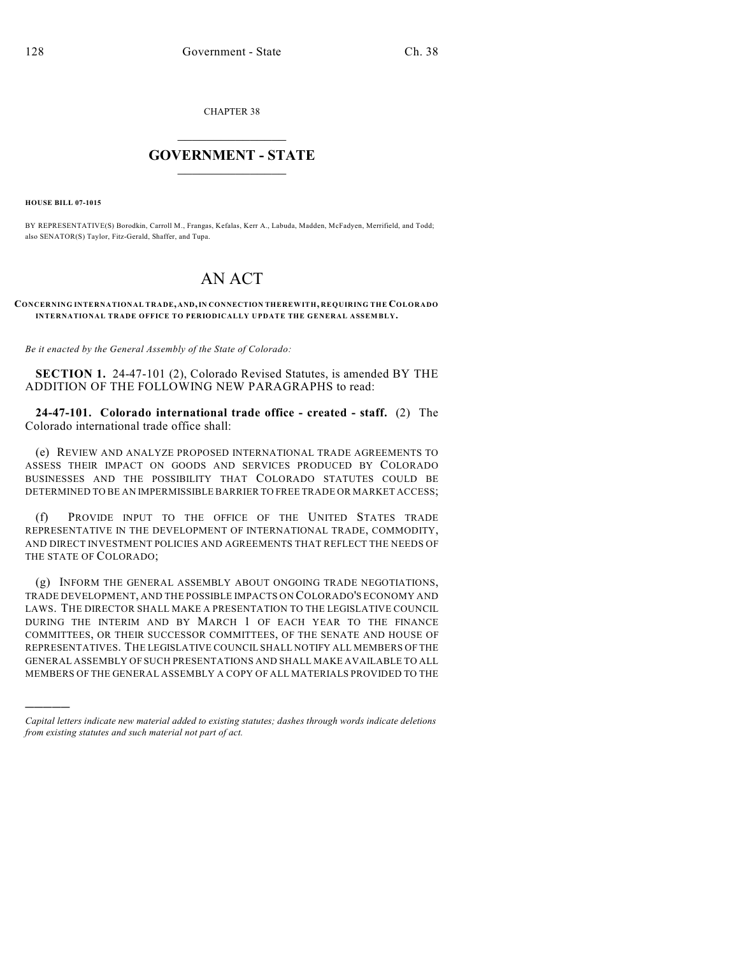CHAPTER 38

## $\mathcal{L}_\text{max}$  . The set of the set of the set of the set of the set of the set of the set of the set of the set of the set of the set of the set of the set of the set of the set of the set of the set of the set of the set **GOVERNMENT - STATE**  $\_$

**HOUSE BILL 07-1015**

)))))

BY REPRESENTATIVE(S) Borodkin, Carroll M., Frangas, Kefalas, Kerr A., Labuda, Madden, McFadyen, Merrifield, and Todd; also SENATOR(S) Taylor, Fitz-Gerald, Shaffer, and Tupa.

## AN ACT

## **CONCERNING INTERNATIONAL TRADE, AND, IN CONNECTION THEREWITH, REQUIRING THE COLORADO INTERNATIONAL TRADE OFFICE TO PERIODICALLY UPDATE THE GENERAL ASSEMBLY.**

*Be it enacted by the General Assembly of the State of Colorado:*

**SECTION 1.** 24-47-101 (2), Colorado Revised Statutes, is amended BY THE ADDITION OF THE FOLLOWING NEW PARAGRAPHS to read:

**24-47-101. Colorado international trade office - created - staff.** (2) The Colorado international trade office shall:

(e) REVIEW AND ANALYZE PROPOSED INTERNATIONAL TRADE AGREEMENTS TO ASSESS THEIR IMPACT ON GOODS AND SERVICES PRODUCED BY COLORADO BUSINESSES AND THE POSSIBILITY THAT COLORADO STATUTES COULD BE DETERMINED TO BE AN IMPERMISSIBLE BARRIER TO FREE TRADE OR MARKET ACCESS;

(f) PROVIDE INPUT TO THE OFFICE OF THE UNITED STATES TRADE REPRESENTATIVE IN THE DEVELOPMENT OF INTERNATIONAL TRADE, COMMODITY, AND DIRECT INVESTMENT POLICIES AND AGREEMENTS THAT REFLECT THE NEEDS OF THE STATE OF COLORADO;

(g) INFORM THE GENERAL ASSEMBLY ABOUT ONGOING TRADE NEGOTIATIONS, TRADE DEVELOPMENT, AND THE POSSIBLE IMPACTS ON COLORADO'S ECONOMY AND LAWS. THE DIRECTOR SHALL MAKE A PRESENTATION TO THE LEGISLATIVE COUNCIL DURING THE INTERIM AND BY MARCH 1 OF EACH YEAR TO THE FINANCE COMMITTEES, OR THEIR SUCCESSOR COMMITTEES, OF THE SENATE AND HOUSE OF REPRESENTATIVES. THE LEGISLATIVE COUNCIL SHALL NOTIFY ALL MEMBERS OF THE GENERAL ASSEMBLY OF SUCH PRESENTATIONS AND SHALL MAKE AVAILABLE TO ALL MEMBERS OF THE GENERAL ASSEMBLY A COPY OF ALL MATERIALS PROVIDED TO THE

*Capital letters indicate new material added to existing statutes; dashes through words indicate deletions from existing statutes and such material not part of act.*